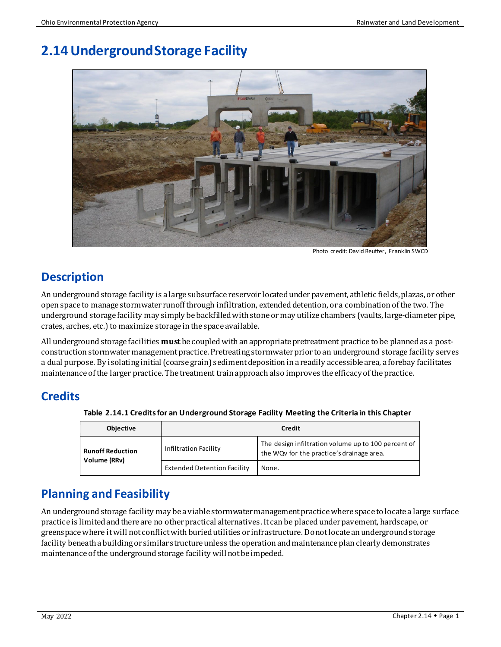# **2.14Underground Storage Facility**



Photo credit: David Reutter, Franklin SWCD

# **Description**

An underground storage facility is a large subsurface reservoir located under pavement, athletic fields, plazas, or other open space to manage stormwater runoff through infiltration, extended detention, or a combination of the two. The underground storage facility may simply be backfilled with stoneormay utilize chambers (vaults, large-diameter pipe, crates, arches, etc.) to maximize storage in the space available.

All underground storage facilities **must** be coupled with an appropriate pretreatment practice to be planned as a postconstruction stormwater management practice. Pretreating stormwater prior to an underground storage facility serves a dual purpose. By isolating initial (coarse grain) sediment deposition in a readily accessible area, a forebay facilitates maintenance of the larger practice. The treatment train approach also improves the efficacyof the practice.

# **Credits**

| <b>Objective</b>                        | <b>Credit</b>                      |                                                                                                  |  |
|-----------------------------------------|------------------------------------|--------------------------------------------------------------------------------------------------|--|
| <b>Runoff Reduction</b><br>Volume (RRv) | Infiltration Facility              | The design infiltration volume up to 100 percent of<br>the WQv for the practice's drainage area. |  |
|                                         | <b>Extended Detention Facility</b> | None.                                                                                            |  |

**Table 2.14.1 Credits for an Underground Storage Facility Meeting the Criteria in this Chapter**

# **Planning and Feasibility**

An underground storage facility may be a viable stormwater management practice where space to locate a large surface practice is limitedand there are no other practical alternatives. It can be placed under pavement, hardscape, or greenspacewhere it will not conflict with buried utilities or infrastructure. Do not locate an underground storage facility beneath a building or similar structure unless the operation and maintenance plan clearly demonstrates maintenance of the underground storage facility will not be impeded.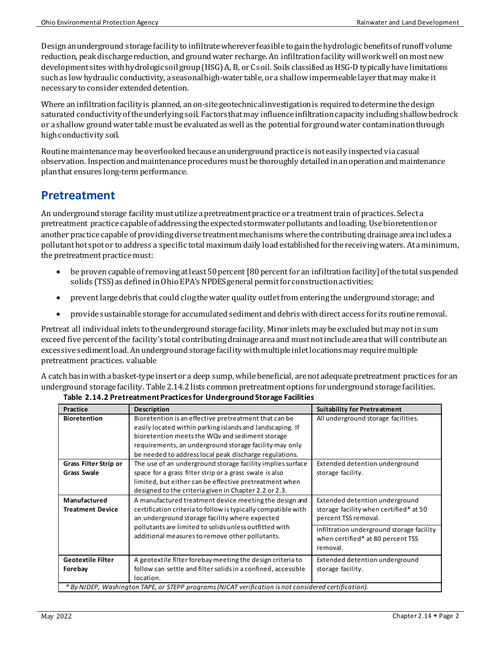Design an underground storage facility to infiltrate wherever feasible to gain thehydrologic benefits of runoff volume reduction, peak discharge reduction, and groundwater recharge. An infiltrationfacility will work well on most new development sites with hydrologic soil group (HSG) A, B, or C soil. Soils classified as HSG-D typically have limitations such as low hydraulic conductivity, a seasonal high-water table, or a shallow impermeable layer that may make it necessary to consider extended detention.

Where an infiltration facility is planned, an on-site geotechnical investigation is required to determine the design saturated conductivity of the underlying soil. Factors that may influence infiltration capacity including shallow bedrock or a shallow groundwater table must be evaluated as well as the potential for groundwater contaminationthrough high conductivity soil.

Routine maintenance may beoverlooked because an underground practice is not easily inspected via casual observation. Inspection and maintenance procedures must be thoroughly detailed in anoperation and maintenance planthat ensures long-term performance.

### **Pretreatment**

An underground storage facility must utilize a pretreatment practice or a treatment train of practices. Select a pretreatment practice capable of addressingthe expected stormwater pollutants and loading. Use bioretention or another practice capable of providing diverse treatment mechanisms where the contributing drainage area includes a pollutant hot spotor to address a specific total maximum daily loadestablished for the receiving waters. At a minimum, the pretreatment practice must:

- be provencapable of removing at least 50 percent [80 percent for an infiltration facility] of the total suspended solids (TSS) as defined in Ohio EPA's NPDES general permit for construction activities;
- prevent large debris that could clog the water quality outlet from entering the underground storage; and
- provide sustainable storage for accumulated sediment and debris with direct access for its routine removal.

Pretreat all individual inlets to the underground storage facility. Minor inlets may be excluded but may not in sum exceed five percent of the facility's total contributing drainage area and must not include area that will contribute an excessive sediment load. An underground storage facility with multiple inlet locations may require multiple pretreatment practices. valuable

A catch basin with a basket-type insertor a deep sump, while beneficial, are not adequate pretreatment practices for an underground storage facility. Table 2.14.2lists common pretreatment options forunderground storage facilities.

| Practice                                                                                             | <b>Description</b>                                                                                                                                                                                                                                                                        | <b>Suitability for Pretreatment</b>                                                              |  |  |
|------------------------------------------------------------------------------------------------------|-------------------------------------------------------------------------------------------------------------------------------------------------------------------------------------------------------------------------------------------------------------------------------------------|--------------------------------------------------------------------------------------------------|--|--|
| <b>Bioretention</b>                                                                                  | Bioretention is an effective pretreatment that can be<br>easily located within parking islands and landscaping. If<br>bioretention meets the WQv and sediment storage<br>requirements, an underground storage facility may only<br>be needed to address local peak discharge regulations. | All underground storage facilities.                                                              |  |  |
| Grass Filter Strip or                                                                                | The use of an underground storage facility implies surface                                                                                                                                                                                                                                | Extended detention underground                                                                   |  |  |
| <b>Grass Swale</b>                                                                                   | space for a grass filter strip or a grass swale is also                                                                                                                                                                                                                                   | storage facility.                                                                                |  |  |
|                                                                                                      | limited, but either can be effective pretreatment when<br>designed to the criteria given in Chapter 2.2 or 2.3.                                                                                                                                                                           |                                                                                                  |  |  |
| Manufactured<br><b>Treatment Device</b>                                                              | A manufactured treatment device meeting the design and<br>certification criteria to follow is typically compatible with<br>an underground storage facility where expected                                                                                                                 | Extended detention underground<br>storage facility when certified* at 50<br>percent TSS removal. |  |  |
|                                                                                                      | pollutants are limited to solids unless outfitted with<br>additional measures to remove other pollutants.                                                                                                                                                                                 | Infiltration underground storage facility<br>when certified* at 80 percent TSS<br>removal.       |  |  |
| <b>Geotextile Filter</b>                                                                             | A geotextile filter forebay meeting the design criteria to                                                                                                                                                                                                                                | Extended detention underground                                                                   |  |  |
| Forebay                                                                                              | follow can settle and filter solids in a confined, accessible                                                                                                                                                                                                                             | storage facility.                                                                                |  |  |
|                                                                                                      | location.                                                                                                                                                                                                                                                                                 |                                                                                                  |  |  |
| * By NJDEP, Washington TAPE, or STEPP programs (NJCAT verification is not considered certification). |                                                                                                                                                                                                                                                                                           |                                                                                                  |  |  |

#### **Table 2.14.2 Pretreatment Practices for Underground Storage Facilities**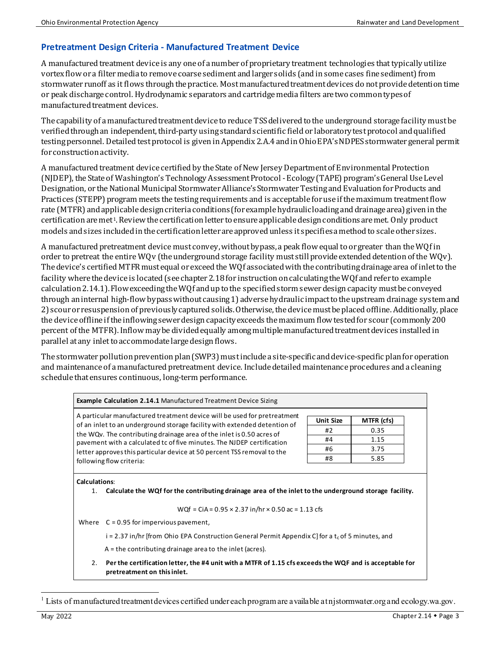### **Pretreatment Design Criteria - Manufactured Treatment Device**

A manufactured treatment device is any one of a number of proprietary treatment technologies that typically utilize vortex flow or a filter media to remove coarse sediment and larger solids (and in some cases fine sediment)from stormwater runoff as it flows through the practice. Mostmanufactured treatment devices do not providedetention time or peak discharge control. Hydrodynamic separators and cartridge media filters are two common typesof manufactured treatment devices.

The capability of a manufactured treatment device to reduce TSS delivered to the underground storage facility must be verified through an independent, third-party using standard scientific field or laboratory test protocol and qualified testing personnel. Detailed test protocol is given in Appendix 2.A.4 and in Ohio EPA's NDPES stormwater general permit for construction activity.

A manufactured treatment device certified by the State of New Jersey Department of Environmental Protection (NJDEP), the State of Washington's Technology Assessment Protocol -Ecology (TAPE) program's General Use Level Designation, or the National Municipal Stormwater Alliance's Stormwater Testing and Evaluation for Products and Practices (STEPP) program meets the testing requirements and is acceptable for use if the maximum treatment flow rate (MTFR) and applicable design criteria conditions (for example hydraulic loading and drainage area) given in the certification are met[1.](#page-2-0) Review the certification letter to ensure applicable design conditionsare met. Only product models and sizes included in the certification letter are approved unless it specifies a method to scale other sizes.

A manufactured pretreatment device must convey, without bypass, a peak flow equal to or greater than the WQf in order to pretreat the entire WQv (the underground storage facility must still provide extended detention of the WQv). The device's certified MTFR must equal or exceed the WQf associated with the contributing drainage area of inlet to the facility where the device is located (see chapter 2.18 for instruction on calculating the WQf and refer to example calculation 2.14.1).Flow exceeding the WQf and up to the specified storm sewer design capacity must be conveyed through an internal high-flow bypass without causing1) adverse hydraulic impact to the upstream drainage system and 2) scour or resuspension of previously captured solids. Otherwise, the device must be placed offline. Additionally, place the device offline ifthe inflowing sewer design capacity exceeds the maximum flow tested for scour (commonly 200 percent of the MTFR). Inflow may be divided equally among multiple manufactured treatment devices installed in parallel at any inlet to accommodate large design flows.

The stormwater pollution prevention plan(SWP3) must include a site-specific and device-specific plan for operation and maintenance of amanufactured pretreatment device. Include detailedmaintenance procedures and a cleaning schedule that ensures continuous, long-term performance.

| <b>Example Calculation 2.14.1 Manufactured Treatment Device Sizing</b>                                                                             |                  |            |  |
|----------------------------------------------------------------------------------------------------------------------------------------------------|------------------|------------|--|
| A particular manufactured treatment device will be used for pretreatment                                                                           | <b>Unit Size</b> | MTFR (cfs) |  |
| of an inlet to an underground storage facility with extended detention of<br>the WQv. The contributing drainage area of the inlet is 0.50 acres of | #2               | 0.35       |  |
| pavement with a calculated tc of five minutes. The NJDEP certification                                                                             | #4               | 1.15       |  |
| letter approves this particular device at 50 percent TSS removal to the                                                                            | #6               | 3.75       |  |
| following flow criteria:                                                                                                                           | #8               | 5.85       |  |

**Calculations**:

1. **Calculate the WQf for the contributing drainage area of the inlet to the underground storage facility.**

$$
WQf = CIA = 0.95 \times 2.37 \text{ in/hr} \times 0.50 \text{ ac} = 1.13 \text{ cfs}
$$

Where  $C = 0.95$  for impervious pavement,

i = 2.37 in/hr [from Ohio EPA Construction General Permit Appendix C] for a  $t_c$  of 5 minutes, and

A = the contributing drainage area to the inlet (acres).

2. **Per the certification letter, the #4 unit with a MTFR of 1.15 cfs exceeds the WQF and is acceptable for pretreatment on this inlet.** 

<span id="page-2-0"></span><sup>1</sup> Lists of manufactured treatment devices certified under each program are available at njstormwater.org and ecology.wa.gov.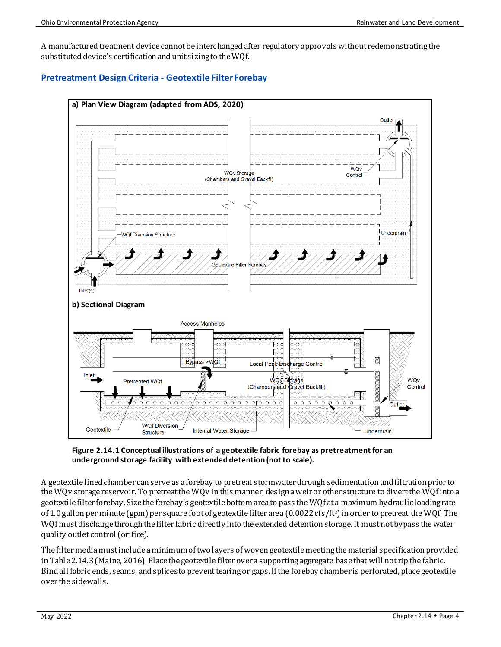A manufactured treatment device cannot be interchanged after regulatory approvals without redemonstratingthe substituted device's certificationand unit sizing to the WQf.

#### **Pretreatment Design Criteria - Geotextile Filter Forebay**



**Figure 2.14.1 Conceptual illustrations of a geotextile fabric forebay as pretreatment for an underground storage facility with extended detention (not to scale).**

A geotextile lined chamber can serve as a forebay to pretreat stormwater through sedimentation and filtration prior to the WQv storage reservoir. To pretreat the WQv in this manner, design a weir or other structure to divert the WQf into a geotextile filter forebay. Size the forebay's geotextile bottom area to pass the WQf at a maximum hydraulic loading rate of 1.0 gallon per minute (gpm) per square foot of geotextile filter area (0.0022 cfs/ft2) in order to pretreat the WQf. The WQf must discharge through the filter fabric directly into the extended detention storage. It must not bypass the water quality outlet control (orifice).

The filter media mustinclude a minimum of two layers of woven geotextile meetingthe material specification provided in Table 2.14.3(Maine, 2016). Place the geotextile filter over a supporting aggregate base that will not rip the fabric. Bind all fabric ends, seams, and splices to prevent tearing or gaps. If the forebay chamber is perforated, place geotextile over the sidewalls.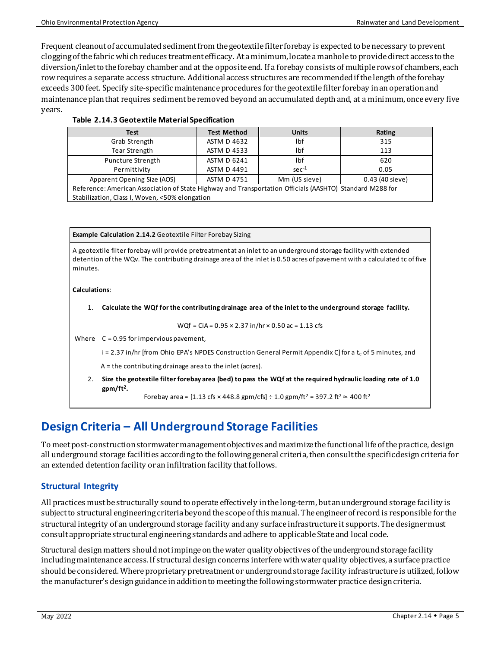Frequent cleanout of accumulated sediment from the geotextile filter forebay is expected to be necessary to prevent clogging of the fabric which reduces treatment efficacy. At a minimum, locate a manhole to provide direct access to the diversion/inlet to the forebay chamber and at the opposite end. If a forebay consists of multiple rows of chambers, each row requires a separate access structure. Additional access structures are recommended if the length of the forebay exceeds 300 feet. Specify site-specific maintenance procedures for the geotextile filter forebay in an operation and maintenance plan that requires sediment be removed beyond an accumulated depth and, at a minimum, once every five years.

| <b>Test</b>                                                                                              | <b>Test Method</b> | <b>Units</b>  | Rating          |  |  |  |
|----------------------------------------------------------------------------------------------------------|--------------------|---------------|-----------------|--|--|--|
| Grab Strength                                                                                            | <b>ASTM D 4632</b> | lbf           | 315             |  |  |  |
| Tear Strength                                                                                            | <b>ASTM D 4533</b> | Ibf           | 113             |  |  |  |
| Puncture Strength                                                                                        | <b>ASTM D 6241</b> | lbf           | 620             |  |  |  |
| Permittivity                                                                                             | <b>ASTM D 4491</b> | $sec-1$       | 0.05            |  |  |  |
| Apparent Opening Size (AOS)                                                                              | <b>ASTM D 4751</b> | Mm (US sieve) | 0.43 (40 sieve) |  |  |  |
| Reference: American Association of State Highway and Transportation Officials (AASHTO) Standard M288 for |                    |               |                 |  |  |  |
| Stabilization, Class I, Woven, <50% elongation                                                           |                    |               |                 |  |  |  |

**Example Calculation 2.14.2** Geotextile Filter Forebay Sizing

A geotextile filter forebay will provide pretreatment at an inlet to an underground storage facility with extended detention of the WQv. The contributing drainage area of the inlet is 0.50 acres of pavement with a calculated tc of five minutes.

#### **Calculations**:

1. **Calculate the WQf for the contributing drainage area of the inlet to the underground storage facility.**

WQf = CiA =  $0.95 \times 2.37$  in/hr  $\times$  0.50 ac = 1.13 cfs

Where  $C = 0.95$  for impervious pavement,

 $i = 2.37$  in/hr [from Ohio EPA's NPDES Construction General Permit Appendix C] for a t<sub>c</sub> of 5 minutes, and

A = the contributing drainage area to the inlet (acres).

2. **Size the geotextile filter forebay area (bed) to pass the WQf at the required hydraulic loading rate of 1.0 gpm/ft2.** 

Forebay area =  $[1.13 \text{ cfs} \times 448.8 \text{ gpm/} \text{cfs}] \div 1.0 \text{ gpm/} \text{ft}^2 = 397.2 \text{ ft}^2 \approx 400 \text{ ft}^2$ 

### **Design Criteria – All Underground Storage Facilities**

To meet post-construction stormwater management objectives and maximize the functional life of the practice, design all underground storage facilities according to the followinggeneral criteria, then consult the specific design criteria for an extended detention facility or an infiltration facility that follows.

#### **Structural Integrity**

All practices must be structurally sound to operate effectively in the long-term, but an underground storage facility is subject to structural engineering criteria beyond the scopeof this manual. The engineer of record is responsible for the structural integrity of an underground storage facility and any surface infrastructure it supports. The designer must consult appropriate structural engineering standards and adhere to applicable State and local code.

Structural design matters should not impinge on the water quality objectives of theunderground storage facility including maintenance access. If structural design concerns interfere with water quality objectives, a surface practice should be considered. Where proprietary pretreatment or underground storage facility infrastructure is utilized, follow the manufacturer's design guidance in addition to meeting the following stormwater practice design criteria.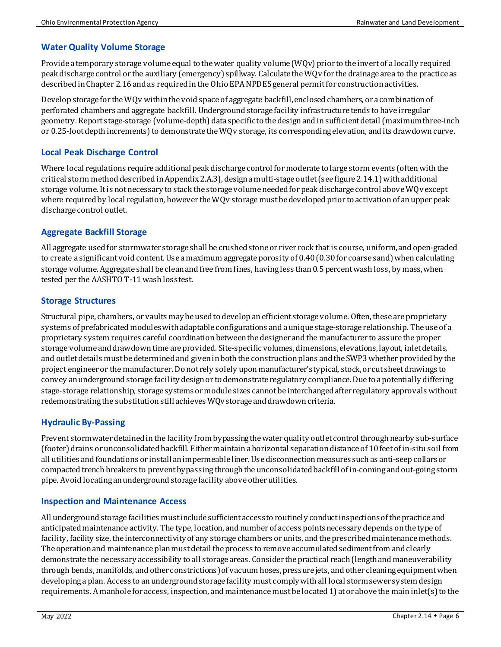#### **Water Quality Volume Storage**

Provide a temporary storage volume equal to the water quality volume (WQv) prior to the invert of a locally required peak discharge control or the auxiliary (emergency) spillway. Calculate the WQv for the drainage area to the practice as described in Chapter 2.16 and as required in the Ohio EPA NPDES general permit for construction activities.

Develop storage for the WQv within the void space of aggregate backfill, enclosed chambers, or a combination of perforated chambers and aggregate backfill. Underground storage facility infrastructure tends to have irregular geometry. Report stage-storage (volume-depth) data specific to the design and in sufficient detail (maximum three-inch or 0.25-foot depth increments) to demonstrate the WQv storage, its corresponding elevation, and its drawdown curve.

#### **Local Peak Discharge Control**

Where local regulations require additional peak discharge control for moderate to large storm events (often with the critical storm method described in Appendix 2.A.3), design a multi-stage outlet (see figure 2.14.1) with additional storage volume. It is not necessary to stack the storage volume needed for peak discharge control above WQv except where required by local regulation, however the WQv storage must be developed prior to activation of an upper peak discharge control outlet.

#### **Aggregate Backfill Storage**

All aggregate used for stormwater storage shall be crushed stone or river rock that is course, uniform,andopen-graded to create a significant void content. Use a maximum aggregate porosity of 0.40 (0.30 for coarse sand) when calculating storage volume. Aggregate shall be clean and free from fines, having less than 0.5 percent wash loss, by mass, when tested per the AASHTO T-11 wash loss test.

#### **Storage Structures**

Structural pipe, chambers, or vaults may be used to develop an efficient storage volume. Often, these are proprietary systems of prefabricated modules with adaptable configurations and a unique stage-storage relationship. The use of a proprietary system requires careful coordination between the designer and the manufacturer to assure the proper storage volume and drawdown time are provided. Site-specific volumes, dimensions, elevations, layout, inlet details, and outlet details must be determined and given in both the construction plans and the SWP3whether provided by the project engineer or the manufacturer. Do not rely solely upon manufacturer's typical, stock, or cut sheet drawings to convey an underground storage facility design or to demonstrate regulatory compliance. Due to apotentially differing stage-storage relationship, storage systems or module sizes cannot be interchanged after regulatory approvals without redemonstrating the substitution still achieves WQv storage and drawdown criteria.

#### **Hydraulic By-Passing**

Prevent stormwater detainedin the facility from bypassing the water quality outlet control through nearby sub-surface (footer) drains orunconsolidated backfill. Either maintain a horizontal separation distance of 10 feet of in-situ soil from all utilities and foundations or install an impermeable liner. Use disconnection measures such as anti-seep collars or compacted trench breakers to prevent bypassing through the unconsolidated backfill of in-coming and out-going storm pipe. Avoid locating an underground storage facility aboveother utilities.

#### **Inspection and Maintenance Access**

All underground storage facilities must include sufficient access to routinely conductinspections of the practice and anticipated maintenance activity. The type, location, and numberof access points necessary depends on the type of facility, facility size, the interconnectivity of any storage chambers or units, and the prescribed maintenance methods. The operation and maintenance plan must detail the process to remove accumulated sediment from and clearly demonstrate the necessary accessibility to all storage areas. Consider thepractical reach (length and maneuverability through bends, manifolds, and other constrictions) of vacuum hoses, pressure jets, and other cleaning equipment when developing a plan. Access to an underground storage facility must comply with all local storm sewer system design requirements. A manhole for access, inspection, and maintenance must be located1) at or above the main inlet(s) to the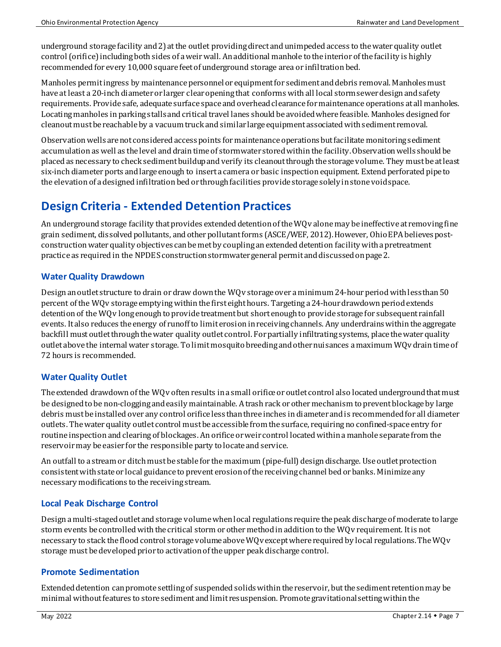underground storage facility and 2) at the outlet providingdirect and unimpeded access to the water quality outlet control (orifice) including both sides of a weir wall. An additional manhole to the interior of the facility is highly recommendedfor every 10,000 square feet of underground storage area or infiltration bed.

Manholes permitingress by maintenance personnel or equipmentfor sediment and debris removal. Manholes must have at least a 20-inch diameter or larger clear opening that conforms with all local storm sewer design and safety requirements. Provide safe, adequate surface space and overhead clearance for maintenance operations at all manholes. Locating manholes in parking stalls and critical travel lanes should be avoided where feasible. Manholes designed for cleanoutmust be reachable by a vacuum truck and similar large equipment associated with sediment removal.

Observation wells are not considered access points for maintenance operations but facilitate monitoring sediment accumulation as well as the level and drain time of stormwater stored within the facility. Observation wells should be placed as necessary to check sediment buildup and verify its cleanout through the storage volume. They must be at least six-inch diameter ports and large enough to insert a camera or basic inspection equipment. Extend perforated pipe to the elevation of a designed infiltration bed or through facilities provide storage solely in stone voidspace.

# **Design Criteria - Extended Detention Practices**

An underground storage facility that provides extended detention of the WQv alone may be ineffective at removing fine grain sediment, dissolved pollutants, and other pollutant forms (ASCE/WEF, 2012). However, Ohio EPA believes postconstruction water quality objectives can be met by coupling an extended detention facility with a pretreatment practice as required in the NPDES construction stormwater general permit and discussedon page 2.

#### **Water Quality Drawdown**

Design an outlet structure to drain or draw down the WQv storage over a minimum 24-hour period with less than 50 percent of the WQv storage emptying within the first eight hours. Targeting a 24-hour drawdown period extends detention of the WQv long enough to provide treatment but short enough to provide storage for subsequent rainfall events. It also reduces the energy of runoff to limit erosion in receiving channels. Any underdrains within the aggregate backfill must outlet through the water quality outlet control. For partially infiltrating systems, place the water quality outlet above the internal water storage. To limit mosquito breeding and other nuisances a maximum WQv drain time of 72 hours is recommended.

#### **Water Quality Outlet**

The extended drawdown of the WQv often results in a small orifice or outlet control also located underground that must be designed to be non-clogging and easily maintainable. A trash rack or other mechanism to prevent blockage by large debris must be installed over any control orifice less than three inches in diameter and is recommended for all diameter outlets. The water quality outlet control mustbe accessible from the surface, requiring no confined-space entry for routine inspection and clearing of blockages. An orifice or weir control located within a manhole separate from the reservoir may be easier for the responsible party to locate and service.

An outfall to a stream or ditch must be stable for the maximum (pipe-full) design discharge. Use outlet protection consistent with state or local guidance to prevent erosion of the receiving channel bed or banks. Minimize any necessary modifications to the receiving stream.

#### **Local Peak Discharge Control**

Design a multi-staged outlet and storage volume when local regulations require the peak discharge of moderate to large storm events be controlled with the critical storm or other method in addition to the WQv requirement. It is not necessary to stack the flood control storage volume above WQv except where required by local regulations. The WQv storage must be developed prior to activation of the upper peak discharge control.

#### **Promote Sedimentation**

Extended detention can promote settling of suspended solids within the reservoir, but the sediment retention may be minimal without features to store sediment and limit resuspension. Promote gravitational settingwithin the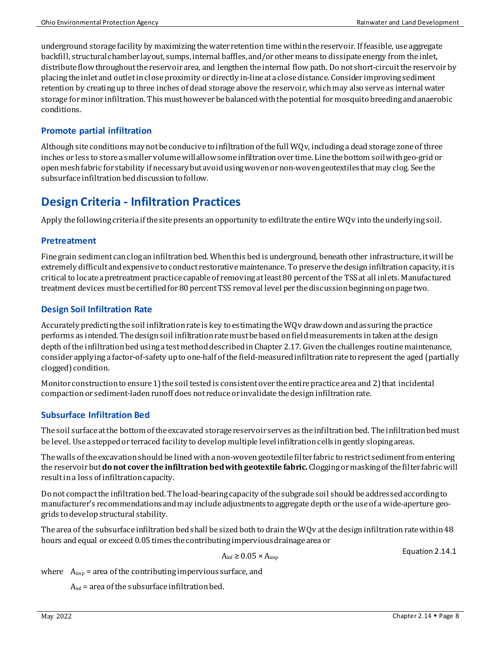underground storage facility by maximizing the water retention timewithin the reservoir. If feasible, use aggregate backfill, structural chamber layout, sumps, internal baffles,and/or other means to dissipate energy from the inlet, distribute flow throughout the reservoir area, and lengthen the internal flow path. Do not short-circuit the reservoir by placing the inlet and outlet in close proximity or directly in-line at a close distance. Consider improvingsediment retention by creating up to three inches of dead storage above the reservoir, which may also serve as internal water storage for minor infiltration. This must however be balanced with the potential for mosquito breeding and anaerobic conditions.

#### **Promote partial infiltration**

Although site conditions may not be conducive to infiltration of the full WQv, including a dead storage zone of three inches or less to store a smaller volume will allow some infiltration over time. Line the bottom soil with geo-grid or open mesh fabric for stability if necessary but avoid using woven or non-woven geotextiles that may clog. See the subsurface infiltration bed discussion to follow.

### **Design Criteria - Infiltration Practices**

Apply the following criteria if the site presents an opportunity to exfiltrate the entire WQv into the underlying soil.

#### **Pretreatment**

Fine grain sediment can clog an infiltration bed. When this bed is underground, beneath other infrastructure, it will be extremely difficult and expensive to conduct restorative maintenance. To preserve the design infiltration capacity, it is critical to locate a pretreatment practice capable of removing at least 80 percent of the TSS at all inlets. Manufactured treatment devices must be certified for 80 percent TSS removal level per the discussion beginning on page two.

#### **Design Soil Infiltration Rate**

Accurately predicting the soil infiltration rate is key to estimating the WQv draw down and assuring the practice performs as intended. The designsoil infiltration rate must be based on field measurements in taken at the design depth of the infiltration bed using a test method described in Chapter 2.17. Given the challenges routine maintenance, consider applyinga factor-of-safety up to one-half of the field-measured infiltration rate to represent the aged (partially clogged) condition.

Monitor construction to ensure 1) the soil tested is consistent over the entire practice area and 2) that incidental compaction or sediment-laden runoff does not reduce or invalidate the design infiltration rate.

#### **Subsurface Infiltration Bed**

The soil surface at the bottom of the excavated storage reservoir serves as the infiltration bed. The infiltration bed must be level. Use a stepped or terraced facility to develop multiple level infiltration cells in gently sloping areas.

The walls of the excavation should be lined with a non-woven geotextile filter fabric to restrict sediment from entering the reservoir but **do not cover the infiltration bed with geotextile fabric.** Clogging or masking of the filter fabric will result in a loss of infiltration capacity.

Do not compact the infiltrationbed. The load-bearing capacity of the subgrade soil should be addressed according to manufacturer's recommendations and may include adjustments to aggregate depth or the use of a wide-aperture geogrids to develop structural stability.

The area of the subsurface infiltration bed shall be sized both to drain the WQv at the design infiltration rate within 48 hours andequal or exceed 0.05 times the contributing impervious drainage area or

 $A_{\text{inf}} \geq 0.05 \times A_{\text{imp}}$ 

Equation 2.14.1

where  $A_{\text{imp}}$  = area of the contributing impervious surface, and

 $A_{\text{inf}}$  = area of the subsurface infiltration bed.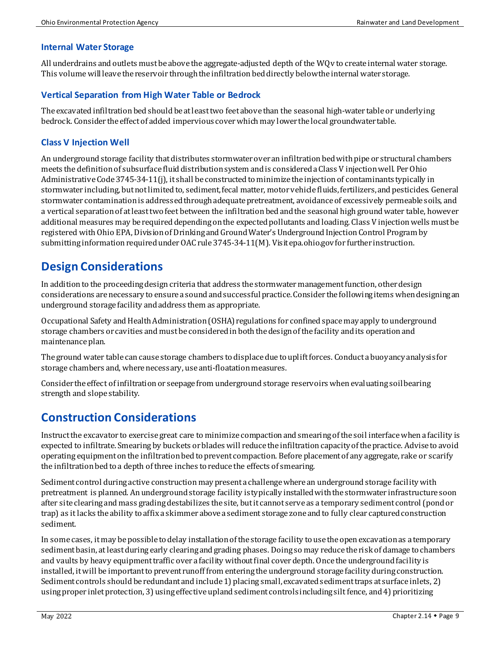#### **Internal Water Storage**

All underdrains andoutlets must be above the aggregate-adjusted depth of the WQv to create internal water storage. This volume will leave the reservoir through the infiltration beddirectly below the internal water storage.

#### **Vertical Separation from High Water Table or Bedrock**

The excavated infiltration bed should be at least two feet above than the seasonal high-water table or underlying bedrock. Consider the effect of added impervious cover which may lower the local groundwater table.

#### **Class V Injection Well**

An underground storage facility that distributes stormwater over an infiltration bedwith pipe or structural chambers meets the definition of subsurface fluid distribution system and is considered a Class V injection well. Per Ohio Administrative Code 3745-34-11(j), it shall be constructed to minimize the injection of contaminants typically in stormwater including, but not limited to, sediment, fecal matter, motor vehicle fluids, fertilizers, and pesticides. General stormwater contamination is addressed through adequate pretreatment, avoidance of excessively permeable soils, and a vertical separation of at least two feet between the infiltration bed and the seasonal high groundwater table, however additional measures may be required depending on the expected pollutants and loading. Class V injection wells must be registered with Ohio EPA, Division of Drinking and Ground Water's Underground Injection Control Program by submitting information required under OAC rule 3745-34-11(M). Visit epa.ohio.gov for further instruction.

### **Design Considerations**

In addition to the proceeding design criteria that address the stormwater management function, other design considerations are necessary to ensure a sound and successful practice. Consider the following items when designing an underground storage facility and address them as appropriate.

Occupational Safety and Health Administration (OSHA) regulations for confined space may apply to underground storage chambers or cavities and must be considered in both the design of the facility and its operation and maintenance plan.

The ground water table can cause storage chambers to displace due to uplift forces. Conduct abuoyancy analysis for storage chambers and, where necessary, use anti-floatation measures.

Consider the effect of infiltration or seepage from underground storage reservoirs when evaluatingsoil bearing strength and slope stability.

# **Construction Considerations**

Instruct the excavator to exercise great care to minimize compaction and smearing of the soil interface when a facility is expected to infiltrate. Smearing by buckets or blades will reduce the infiltration capacity of the practice. Advise to avoid operating equipment on the infiltration bedto prevent compaction. Before placement of any aggregate, rake or scarify the infiltration bed to a depth of three inches to reduce the effects of smearing.

Sediment control during active construction may present a challenge where an underground storage facility with pretreatment is planned. An underground storage facility istypically installedwith the stormwater infrastructure soon after site clearing and mass grading destabilizes the site, but it cannot serve as a temporary sediment control (pond or trap) as it lacks the ability to affix a skimmer above a sediment storage zone and to fully clear captured construction sediment.

In some cases, it may be possible to delay installation of the storage facility to use the open excavation as a temporary sediment basin, at least during early clearing and grading phases. Doing so may reduce the risk of damage to chambers and vaults by heavy equipment traffic over a facility without final cover depth. Once the underground facility is installed, it will be important to prevent runoff from entering the underground storage facility during construction. Sediment controls should be redundant and include 1) placing small, excavated sediment traps at surface inlets, 2) using proper inlet protection, 3) using effective upland sediment controls including silt fence, and 4) prioritizing